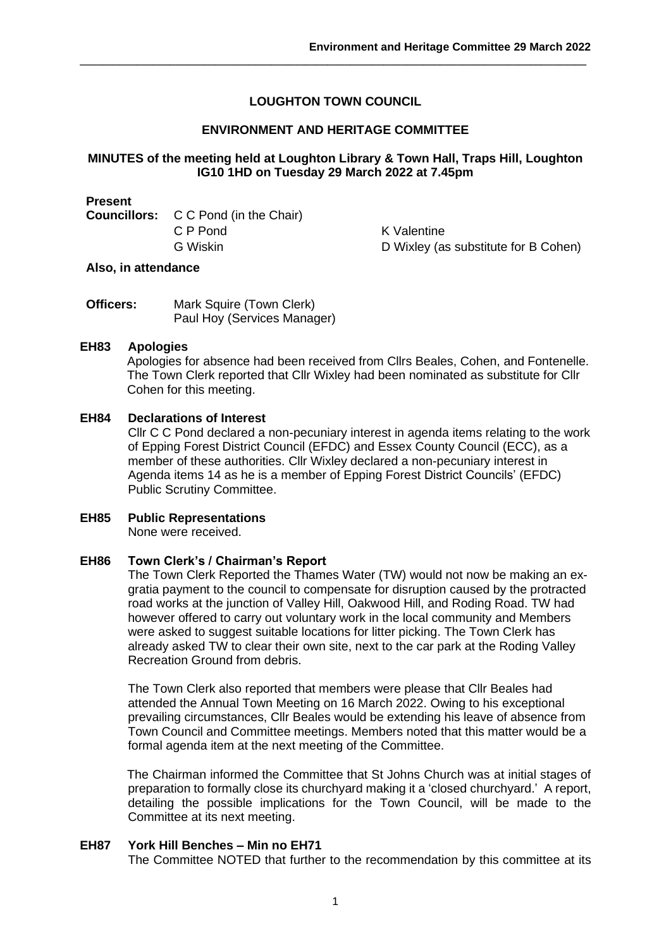# **LOUGHTON TOWN COUNCIL**

**\_\_\_\_\_\_\_\_\_\_\_\_\_\_\_\_\_\_\_\_\_\_\_\_\_\_\_\_\_\_\_\_\_\_\_\_\_\_\_\_\_\_\_\_\_\_\_\_\_\_\_\_\_\_\_\_\_\_\_\_\_\_\_\_\_\_\_\_\_\_\_\_\_\_\_\_\_\_\_\_\_\_\_\_\_\_\_\_\_\_**

# **ENVIRONMENT AND HERITAGE COMMITTEE**

## **MINUTES of the meeting held at Loughton Library & Town Hall, Traps Hill, Loughton IG10 1HD on Tuesday 29 March 2022 at 7.45pm**

**Present C** C Pond (in the Chair) C P Pond K Valentine

G Wiskin D Wixley (as substitute for B Cohen)

#### **Also, in attendance**

| Officers: | Mark Squire (Town Clerk)    |
|-----------|-----------------------------|
|           | Paul Hoy (Services Manager) |

#### **EH83 Apologies**

Apologies for absence had been received from Cllrs Beales, Cohen, and Fontenelle. The Town Clerk reported that Cllr Wixley had been nominated as substitute for Cllr Cohen for this meeting.

# **EH84 Declarations of Interest**

Cllr C C Pond declared a non-pecuniary interest in agenda items relating to the work of Epping Forest District Council (EFDC) and Essex County Council (ECC), as a member of these authorities. Cllr Wixley declared a non-pecuniary interest in Agenda items 14 as he is a member of Epping Forest District Councils' (EFDC) Public Scrutiny Committee.

# **EH85 Public Representations**

None were received.

#### **EH86 Town Clerk's / Chairman's Report**

The Town Clerk Reported the Thames Water (TW) would not now be making an exgratia payment to the council to compensate for disruption caused by the protracted road works at the junction of Valley Hill, Oakwood Hill, and Roding Road. TW had however offered to carry out voluntary work in the local community and Members were asked to suggest suitable locations for litter picking. The Town Clerk has already asked TW to clear their own site, next to the car park at the Roding Valley Recreation Ground from debris.

The Town Clerk also reported that members were please that Cllr Beales had attended the Annual Town Meeting on 16 March 2022. Owing to his exceptional prevailing circumstances, Cllr Beales would be extending his leave of absence from Town Council and Committee meetings. Members noted that this matter would be a formal agenda item at the next meeting of the Committee.

The Chairman informed the Committee that St Johns Church was at initial stages of preparation to formally close its churchyard making it a 'closed churchyard.' A report, detailing the possible implications for the Town Council, will be made to the Committee at its next meeting.

# **EH87 York Hill Benches – Min no EH71**

The Committee NOTED that further to the recommendation by this committee at its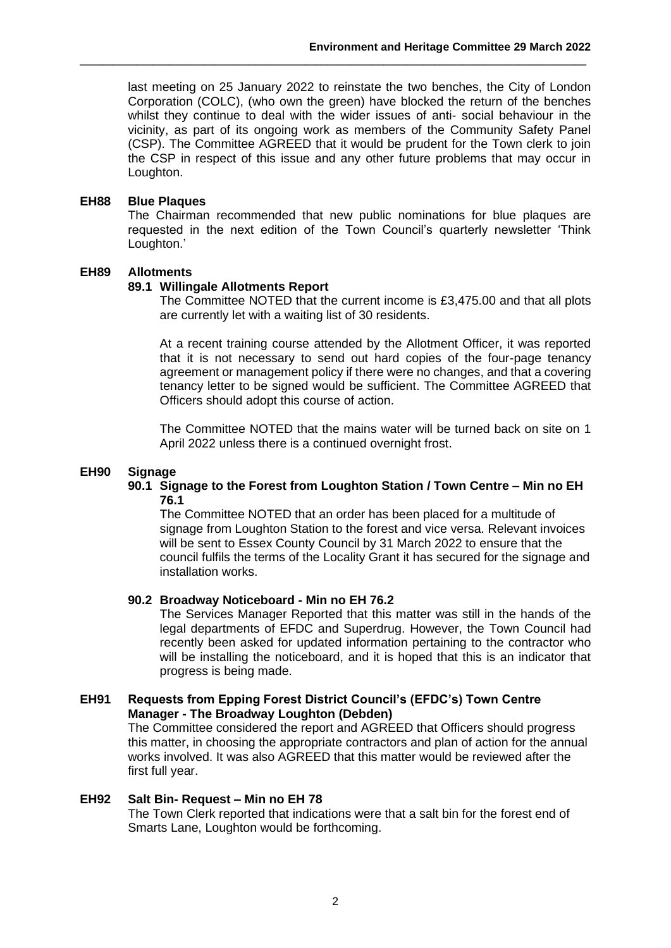last meeting on 25 January 2022 to reinstate the two benches, the City of London Corporation (COLC), (who own the green) have blocked the return of the benches whilst they continue to deal with the wider issues of anti- social behaviour in the vicinity, as part of its ongoing work as members of the Community Safety Panel (CSP). The Committee AGREED that it would be prudent for the Town clerk to join the CSP in respect of this issue and any other future problems that may occur in Loughton.

**\_\_\_\_\_\_\_\_\_\_\_\_\_\_\_\_\_\_\_\_\_\_\_\_\_\_\_\_\_\_\_\_\_\_\_\_\_\_\_\_\_\_\_\_\_\_\_\_\_\_\_\_\_\_\_\_\_\_\_\_\_\_\_\_\_\_\_\_\_\_\_\_\_\_\_\_\_\_\_\_\_\_\_\_\_\_\_\_\_\_**

## **EH88 Blue Plaques**

The Chairman recommended that new public nominations for blue plaques are requested in the next edition of the Town Council's quarterly newsletter 'Think Loughton.'

## **EH89 Allotments**

## **89.1 Willingale Allotments Report**

The Committee NOTED that the current income is £3,475.00 and that all plots are currently let with a waiting list of 30 residents.

At a recent training course attended by the Allotment Officer, it was reported that it is not necessary to send out hard copies of the four-page tenancy agreement or management policy if there were no changes, and that a covering tenancy letter to be signed would be sufficient. The Committee AGREED that Officers should adopt this course of action.

The Committee NOTED that the mains water will be turned back on site on 1 April 2022 unless there is a continued overnight frost.

### **EH90 Signage**

## **90.1 Signage to the Forest from Loughton Station / Town Centre – Min no EH 76.1**

The Committee NOTED that an order has been placed for a multitude of signage from Loughton Station to the forest and vice versa. Relevant invoices will be sent to Essex County Council by 31 March 2022 to ensure that the council fulfils the terms of the Locality Grant it has secured for the signage and installation works.

#### **90.2 Broadway Noticeboard - Min no EH 76.2**

The Services Manager Reported that this matter was still in the hands of the legal departments of EFDC and Superdrug. However, the Town Council had recently been asked for updated information pertaining to the contractor who will be installing the noticeboard, and it is hoped that this is an indicator that progress is being made.

## **EH91 Requests from Epping Forest District Council's (EFDC's) Town Centre Manager - The Broadway Loughton (Debden)**

The Committee considered the report and AGREED that Officers should progress this matter, in choosing the appropriate contractors and plan of action for the annual works involved. It was also AGREED that this matter would be reviewed after the first full year.

#### **EH92 Salt Bin- Request – Min no EH 78**

The Town Clerk reported that indications were that a salt bin for the forest end of Smarts Lane, Loughton would be forthcoming.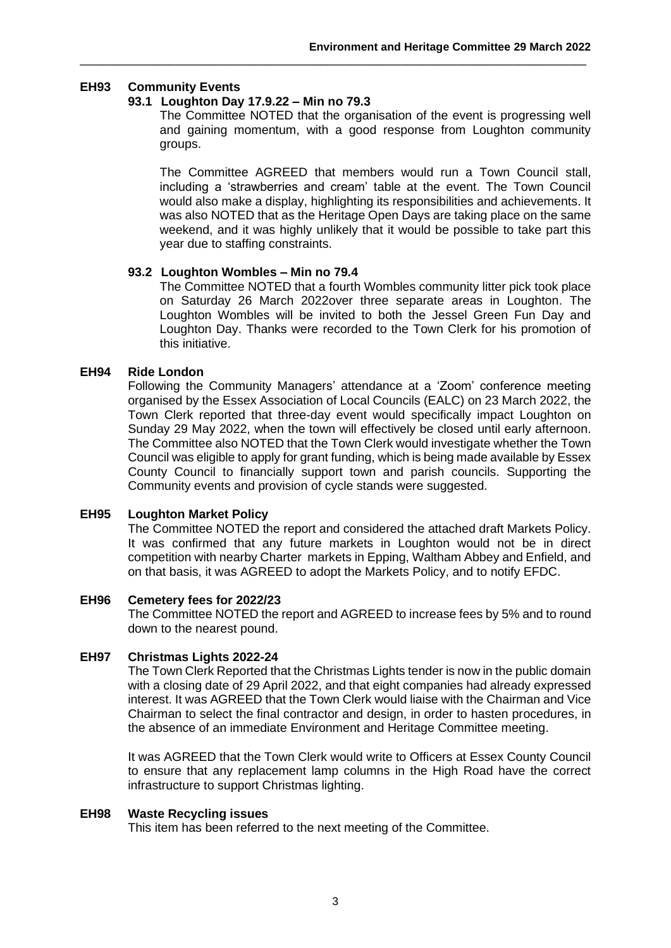# **EH93 Community Events**

## **93.1 Loughton Day 17.9.22 – Min no 79.3**

The Committee NOTED that the organisation of the event is progressing well and gaining momentum, with a good response from Loughton community groups.

**\_\_\_\_\_\_\_\_\_\_\_\_\_\_\_\_\_\_\_\_\_\_\_\_\_\_\_\_\_\_\_\_\_\_\_\_\_\_\_\_\_\_\_\_\_\_\_\_\_\_\_\_\_\_\_\_\_\_\_\_\_\_\_\_\_\_\_\_\_\_\_\_\_\_\_\_\_\_\_\_\_\_\_\_\_\_\_\_\_\_**

The Committee AGREED that members would run a Town Council stall, including a 'strawberries and cream' table at the event. The Town Council would also make a display, highlighting its responsibilities and achievements. It was also NOTED that as the Heritage Open Days are taking place on the same weekend, and it was highly unlikely that it would be possible to take part this year due to staffing constraints.

## **93.2 Loughton Wombles – Min no 79.4**

The Committee NOTED that a fourth Wombles community litter pick took place on Saturday 26 March 2022over three separate areas in Loughton. The Loughton Wombles will be invited to both the Jessel Green Fun Day and Loughton Day. Thanks were recorded to the Town Clerk for his promotion of this initiative.

# **EH94 Ride London**

Following the Community Managers' attendance at a 'Zoom' conference meeting organised by the Essex Association of Local Councils (EALC) on 23 March 2022, the Town Clerk reported that three-day event would specifically impact Loughton on Sunday 29 May 2022, when the town will effectively be closed until early afternoon. The Committee also NOTED that the Town Clerk would investigate whether the Town Council was eligible to apply for grant funding, which is being made available by Essex County Council to financially support town and parish councils. Supporting the Community events and provision of cycle stands were suggested.

# **EH95 Loughton Market Policy**

The Committee NOTED the report and considered the attached draft Markets Policy. It was confirmed that any future markets in Loughton would not be in direct competition with nearby Charter markets in Epping, Waltham Abbey and Enfield, and on that basis, it was AGREED to adopt the Markets Policy, and to notify EFDC.

#### **EH96 Cemetery fees for 2022/23**

The Committee NOTED the report and AGREED to increase fees by 5% and to round down to the nearest pound.

#### **EH97 Christmas Lights 2022-24**

The Town Clerk Reported that the Christmas Lights tender is now in the public domain with a closing date of 29 April 2022, and that eight companies had already expressed interest. It was AGREED that the Town Clerk would liaise with the Chairman and Vice Chairman to select the final contractor and design, in order to hasten procedures, in the absence of an immediate Environment and Heritage Committee meeting.

It was AGREED that the Town Clerk would write to Officers at Essex County Council to ensure that any replacement lamp columns in the High Road have the correct infrastructure to support Christmas lighting.

#### **EH98 Waste Recycling issues**

This item has been referred to the next meeting of the Committee.